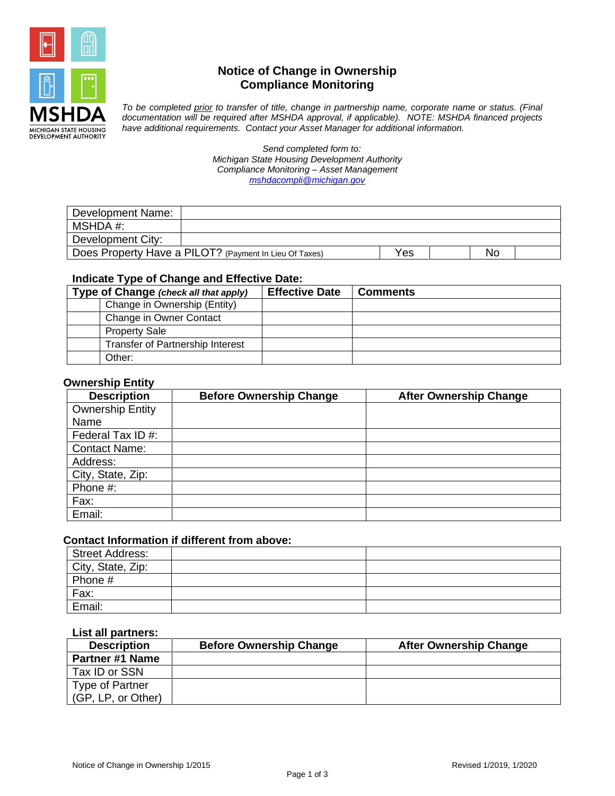

# **Notice of Change in Ownership Compliance Monitoring**

*To be completed prior to transfer of title, change in partnership name, corporate name or status. (Final documentation will be required after MSHDA approval, if applicable). NOTE: MSHDA financed projects have additional requirements. Contact your Asset Manager for additional information.* 

> *Send completed form to: Michigan State Housing Development Authority Compliance Monitoring – Asset Management [mshdacompli@michigan.gov](mailto:mshdacompli@michigan.gov)*

| Development Name: |                                                        |     |    |  |
|-------------------|--------------------------------------------------------|-----|----|--|
| MSHDA #:          |                                                        |     |    |  |
| Development City: |                                                        |     |    |  |
|                   | Does Property Have a PILOT? (Payment In Lieu Of Taxes) | Yes | No |  |

# **Indicate Type of Change and Effective Date:**

| Type of Change (check all that apply)   | <b>Effective Date</b> | <b>Comments</b> |
|-----------------------------------------|-----------------------|-----------------|
| Change in Ownership (Entity)            |                       |                 |
| Change in Owner Contact                 |                       |                 |
| <b>Property Sale</b>                    |                       |                 |
| <b>Transfer of Partnership Interest</b> |                       |                 |
| Other:                                  |                       |                 |

## **Ownership Entity**

| <b>Description</b>      | <b>Before Ownership Change</b> | <b>After Ownership Change</b> |
|-------------------------|--------------------------------|-------------------------------|
| <b>Ownership Entity</b> |                                |                               |
| Name                    |                                |                               |
| Federal Tax ID #:       |                                |                               |
| <b>Contact Name:</b>    |                                |                               |
| Address:                |                                |                               |
| City, State, Zip:       |                                |                               |
| Phone #:                |                                |                               |
| Fax:                    |                                |                               |
| Email:                  |                                |                               |

## **Contact Information if different from above:**

| Street Address:   |  |
|-------------------|--|
| City, State, Zip: |  |
| Phone #           |  |
| Fax:              |  |
| Email:            |  |

## **List all partners:**

| <b>Description</b>     | <b>Before Ownership Change</b> | <b>After Ownership Change</b> |
|------------------------|--------------------------------|-------------------------------|
| <b>Partner #1 Name</b> |                                |                               |
| Tax ID or SSN          |                                |                               |
| <b>Type of Partner</b> |                                |                               |
| (GP, LP, or Other)     |                                |                               |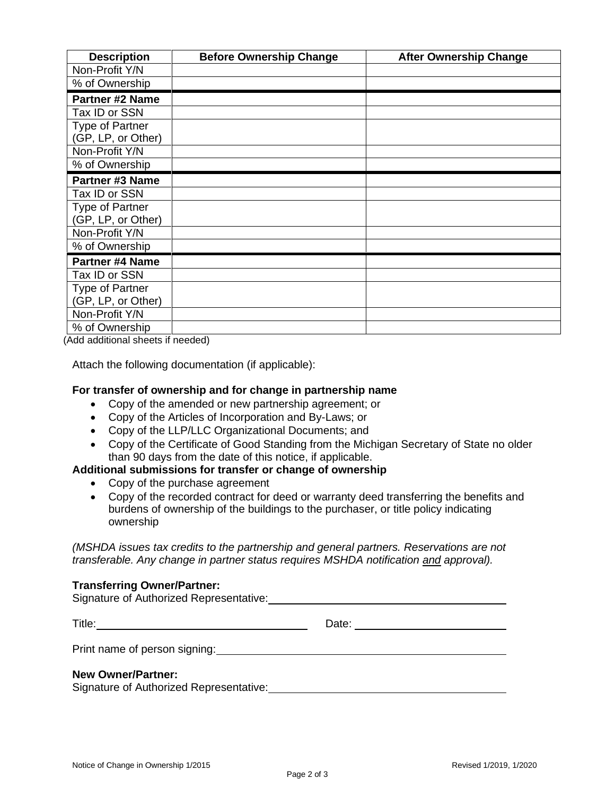| <b>Description</b>     | <b>Before Ownership Change</b> | <b>After Ownership Change</b> |
|------------------------|--------------------------------|-------------------------------|
| Non-Profit Y/N         |                                |                               |
| % of Ownership         |                                |                               |
| <b>Partner #2 Name</b> |                                |                               |
| Tax ID or SSN          |                                |                               |
| Type of Partner        |                                |                               |
| (GP, LP, or Other)     |                                |                               |
| Non-Profit Y/N         |                                |                               |
| % of Ownership         |                                |                               |
| Partner #3 Name        |                                |                               |
| Tax ID or SSN          |                                |                               |
| <b>Type of Partner</b> |                                |                               |
| (GP, LP, or Other)     |                                |                               |
| Non-Profit Y/N         |                                |                               |
| % of Ownership         |                                |                               |
| <b>Partner #4 Name</b> |                                |                               |
| Tax ID or SSN          |                                |                               |
| <b>Type of Partner</b> |                                |                               |
| (GP, LP, or Other)     |                                |                               |
| Non-Profit Y/N         |                                |                               |
| % of Ownership         |                                |                               |

(Add additional sheets if needed)

Attach the following documentation (if applicable):

#### **For transfer of ownership and for change in partnership name**

- Copy of the amended or new partnership agreement; or
- Copy of the Articles of Incorporation and By-Laws; or
- Copy of the LLP/LLC Organizational Documents; and
- Copy of the Certificate of Good Standing from the Michigan Secretary of State no older than 90 days from the date of this notice, if applicable.

# **Additional submissions for transfer or change of ownership**

- Copy of the purchase agreement
- Copy of the recorded contract for deed or warranty deed transferring the benefits and burdens of ownership of the buildings to the purchaser, or title policy indicating ownership

*(MSHDA issues tax credits to the partnership and general partners. Reservations are not transferable. Any change in partner status requires MSHDA notification and approval).*

#### **Transferring Owner/Partner:**

Signature of Authorized Representative:

Title: Date:

Print name of person signing:

#### **New Owner/Partner:**

Signature of Authorized Representative:<br>
Signature of Authorized Representative: